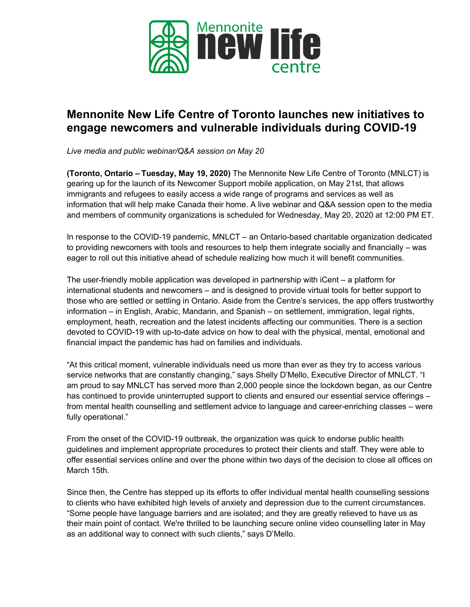

# **Mennonite New Life Centre of Toronto launches new initiatives to engage newcomers and vulnerable individuals during COVID-19**

*Live media and public webinar/Q&A session on May 20*

**(Toronto, Ontario – Tuesday, May 19, 2020)** The Mennonite New Life Centre of Toronto (MNLCT) is gearing up for the launch of its Newcomer Support mobile application, on May 21st, that allows immigrants and refugees to easily access a wide range of programs and services as well as information that will help make Canada their home. A live webinar and Q&A session open to the media and members of community organizations is scheduled for Wednesday, May 20, 2020 at 12:00 PM ET.

In response to the COVID-19 pandemic, MNLCT – an Ontario-based charitable organization dedicated to providing newcomers with tools and resources to help them integrate socially and financially – was eager to roll out this initiative ahead of schedule realizing how much it will benefit communities.

The user-friendly mobile application was developed in partnership with iCent – a platform for international students and newcomers – and is designed to provide virtual tools for better support to those who are settled or settling in Ontario. Aside from the Centre's services, the app offers trustworthy information – in English, Arabic, Mandarin, and Spanish – on settlement, immigration, legal rights, employment, heath, recreation and the latest incidents affecting our communities. There is a section devoted to COVID-19 with up-to-date advice on how to deal with the physical, mental, emotional and financial impact the pandemic has had on families and individuals.

"At this critical moment, vulnerable individuals need us more than ever as they try to access various service networks that are constantly changing," says Shelly D'Mello, Executive Director of MNLCT. "I am proud to say MNLCT has served more than 2,000 people since the lockdown began, as our Centre has continued to provide uninterrupted support to clients and ensured our essential service offerings – from mental health counselling and settlement advice to language and career-enriching classes – were fully operational."

From the onset of the COVID-19 outbreak, the organization was quick to endorse public health guidelines and implement appropriate procedures to protect their clients and staff. They were able to offer essential services online and over the phone within two days of the decision to close all offices on March 15th.

Since then, the Centre has stepped up its efforts to offer individual mental health counselling sessions to clients who have exhibited high levels of anxiety and depression due to the current circumstances. "Some people have language barriers and are isolated; and they are greatly relieved to have us as their main point of contact. We're thrilled to be launching secure online video counselling later in May as an additional way to connect with such clients," says D'Mello.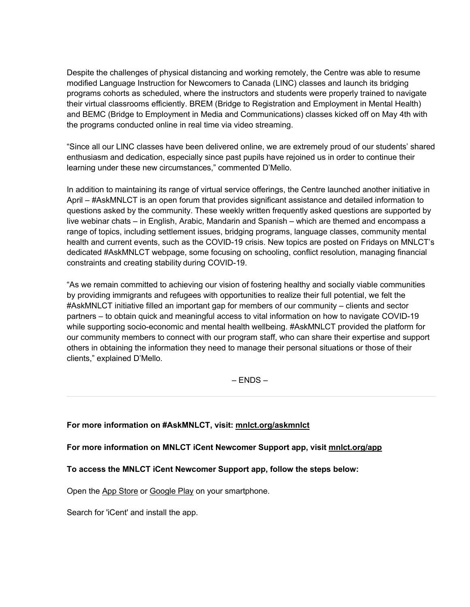Despite the challenges of physical distancing and working remotely, the Centre was able to resume modified Language Instruction for Newcomers to Canada (LINC) classes and launch its bridging programs cohorts as scheduled, where the instructors and students were properly trained to navigate their virtual classrooms efficiently. BREM (Bridge to Registration and Employment in Mental Health) and BEMC (Bridge to Employment in Media and Communications) classes kicked off on May 4th with the programs conducted online in real time via video streaming.

"Since all our LINC classes have been delivered online, we are extremely proud of our students' shared enthusiasm and dedication, especially since past pupils have rejoined us in order to continue their learning under these new circumstances," commented D'Mello.

In addition to maintaining its range of virtual service offerings, the Centre launched another initiative in April – #AskMNLCT is an open forum that provides significant assistance and detailed information to questions asked by the community. These weekly written frequently asked questions are supported by live webinar chats – in English, Arabic, Mandarin and Spanish – which are themed and encompass a range of topics, including settlement issues, bridging programs, language classes, community mental health and current events, such as the COVID-19 crisis. New topics are posted on Fridays on MNLCT's dedicated #AskMNLCT webpage, some focusing on schooling, conflict resolution, managing financial constraints and creating stability during COVID-19.

"As we remain committed to achieving our vision of fostering healthy and socially viable communities by providing immigrants and refugees with opportunities to realize their full potential, we felt the #AskMNLCT initiative filled an important gap for members of our community – clients and sector partners – to obtain quick and meaningful access to vital information on how to navigate COVID-19 while supporting socio-economic and mental health wellbeing. #AskMNLCT provided the platform for our community members to connect with our program staff, who can share their expertise and support others in obtaining the information they need to manage their personal situations or those of their clients," explained D'Mello.

 $-$  ENDS  $-$ 

### **For more information on #AskMNLCT, visit: [mnlct.org/askmnlct](https://click.ml.mailersend.com/link/c/YT0xNDI0ODIxODQ4ODU5NzM5Mzc2JmM9cDZ3MiZlPTEwNTQzMTAyJmI9MzQ5Njk4MzMyJmQ9cjR3NHA1dQ==.ixC7IMWreihiEMY8LemzxD8enViWUM_gM8fCI_J-Vl8)**

**For more information on MNLCT iCent Newcomer Support app, visit [mnlct.org/app](https://click.ml.mailersend.com/link/c/YT0xNDI0ODIxODQ4ODU5NzM5Mzc2JmM9cDZ3MiZlPTEwNTQzMTAyJmI9MzQ5Njk4MzQ4JmQ9dzBkNm04bg==.SA2RPC5mTdWoegERfma2-IUhfVL114HbQA6RcPNPN1Q)**

### **To access the MNLCT iCent Newcomer Support app, follow the steps below:**

Open the [App Store](https://click.ml.mailersend.com/link/c/YT0xNDI0ODIxODQ4ODU5NzM5Mzc2JmM9cDZ3MiZlPTEwNTQzMTAyJmI9MzQ5Njk4MzUwJmQ9ZDJmNmg0ZA==.gR7yS_aKfNEwlbPeE_GQdYgL7yduYhsLySF8PAQSMis) or [Google Play](https://click.ml.mailersend.com/link/c/YT0xNDI0ODIxODQ4ODU5NzM5Mzc2JmM9cDZ3MiZlPTEwNTQzMTAyJmI9MzQ5Njk4MzU0JmQ9ZDFmNXQ2bQ==.5Ipn8753nWWGpx7hsTjRwxRqeitKU-OAflgmeH9xMrU) on your smartphone. 

Search for 'iCent' and install the app.